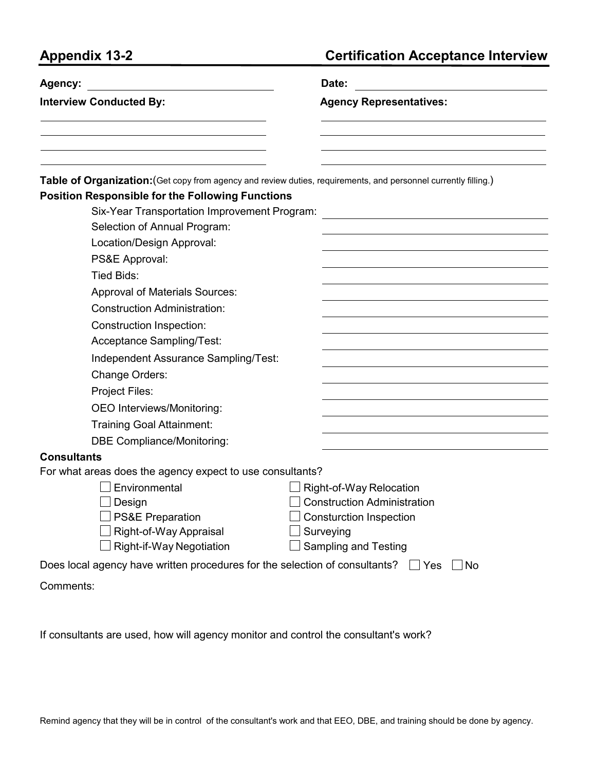**Appendix 13-2 Certification Acceptance Interview**

| Agency:                                                                                                         | Date:                                       |
|-----------------------------------------------------------------------------------------------------------------|---------------------------------------------|
| <b>Interview Conducted By:</b>                                                                                  | <b>Agency Representatives:</b>              |
|                                                                                                                 |                                             |
| Table of Organization: (Get copy from agency and review duties, requirements, and personnel currently filling.) |                                             |
| <b>Position Responsible for the Following Functions</b>                                                         |                                             |
| Six-Year Transportation Improvement Program:                                                                    |                                             |
| Selection of Annual Program:                                                                                    |                                             |
| Location/Design Approval:                                                                                       |                                             |
| PS&E Approval:                                                                                                  |                                             |
| Tied Bids:                                                                                                      |                                             |
| <b>Approval of Materials Sources:</b>                                                                           |                                             |
| <b>Construction Administration:</b>                                                                             |                                             |
| <b>Construction Inspection:</b>                                                                                 |                                             |
| <b>Acceptance Sampling/Test:</b>                                                                                |                                             |
| Independent Assurance Sampling/Test:                                                                            |                                             |
| Change Orders:                                                                                                  |                                             |
| Project Files:                                                                                                  |                                             |
| OEO Interviews/Monitoring:                                                                                      |                                             |
| <b>Training Goal Attainment:</b>                                                                                |                                             |
| <b>DBE Compliance/Monitoring:</b>                                                                               |                                             |
| <b>Consultants</b>                                                                                              |                                             |
| For what areas does the agency expect to use consultants?                                                       |                                             |
| Environmental                                                                                                   | <b>Right-of-Way Relocation</b>              |
| Design                                                                                                          | <b>Construction Administration</b>          |
| <b>PS&amp;E Preparation</b><br>Right-of-Way Appraisal                                                           | <b>Consturction Inspection</b><br>Surveying |
| Right-if-Way Negotiation                                                                                        | <b>Sampling and Testing</b>                 |
| Does local agency have written procedures for the selection of consultants?                                     | $\Box$ Yes<br><b>No</b>                     |
|                                                                                                                 |                                             |
| Comments:                                                                                                       |                                             |

If consultants are used, how will agency monitor and control the consultant's work?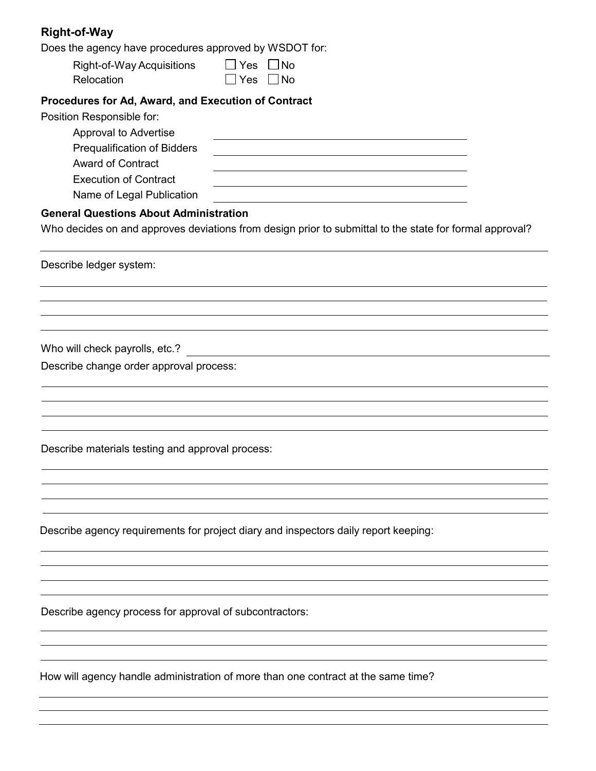# **Right-of-Way**

Does the agency have procedures approved by WSDOT for:

| Right-of-Way Acquisitions | $\Box$ Yes $\Box$ No     |  |
|---------------------------|--------------------------|--|
| $D = - + + - -$           | $\Box$ $V_{aa}$ $\Box$ N |  |

# □ □ Relocation Yes No

## **Procedures for Ad, Award, and Execution of Contract**

| Position Responsible for:                                                                                                                                |                                                                                     |  |  |  |  |  |
|----------------------------------------------------------------------------------------------------------------------------------------------------------|-------------------------------------------------------------------------------------|--|--|--|--|--|
| <b>Approval to Advertise</b>                                                                                                                             |                                                                                     |  |  |  |  |  |
| <b>Prequalification of Bidders</b>                                                                                                                       |                                                                                     |  |  |  |  |  |
| <b>Award of Contract</b><br><b>Execution of Contract</b>                                                                                                 |                                                                                     |  |  |  |  |  |
| Name of Legal Publication                                                                                                                                |                                                                                     |  |  |  |  |  |
|                                                                                                                                                          |                                                                                     |  |  |  |  |  |
| <b>General Questions About Administration</b><br>Who decides on and approves deviations from design prior to submittal to the state for formal approval? |                                                                                     |  |  |  |  |  |
| Describe ledger system:                                                                                                                                  |                                                                                     |  |  |  |  |  |
|                                                                                                                                                          |                                                                                     |  |  |  |  |  |
|                                                                                                                                                          |                                                                                     |  |  |  |  |  |
|                                                                                                                                                          |                                                                                     |  |  |  |  |  |
| Who will check payrolls, etc.?                                                                                                                           |                                                                                     |  |  |  |  |  |
| Describe change order approval process:                                                                                                                  |                                                                                     |  |  |  |  |  |
|                                                                                                                                                          |                                                                                     |  |  |  |  |  |
|                                                                                                                                                          |                                                                                     |  |  |  |  |  |
|                                                                                                                                                          |                                                                                     |  |  |  |  |  |
| Describe materials testing and approval process:                                                                                                         |                                                                                     |  |  |  |  |  |
|                                                                                                                                                          |                                                                                     |  |  |  |  |  |
|                                                                                                                                                          |                                                                                     |  |  |  |  |  |
|                                                                                                                                                          |                                                                                     |  |  |  |  |  |
|                                                                                                                                                          | Describe agency requirements for project diary and inspectors daily report keeping: |  |  |  |  |  |
|                                                                                                                                                          |                                                                                     |  |  |  |  |  |

Describe agency process for approval of subcontractors:

How will agency handle administration of more than one contract at the same time?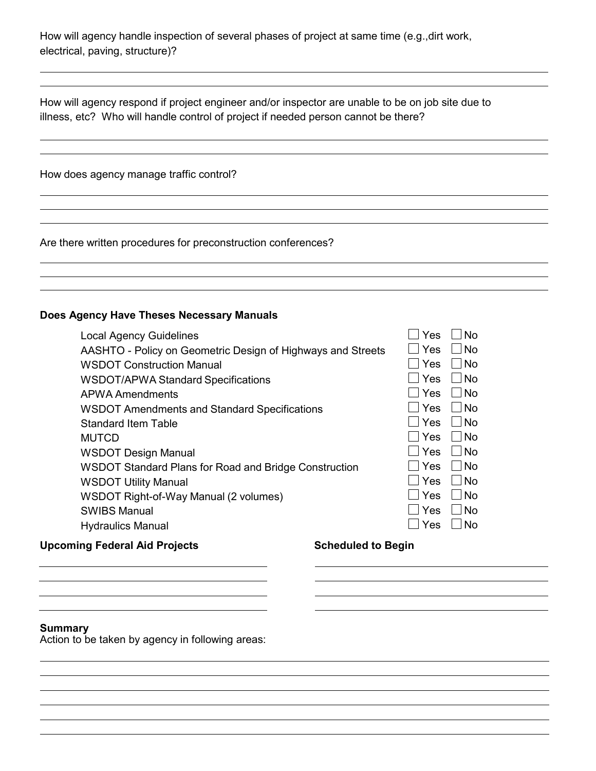How will agency handle inspection of several phases of project at same time (e.g.,dirt work, electrical, paving, structure)?

 How will agency respond if project engineer and/or inspector are unable to be on job site due to illness, etc? Who will handle control of project if needed person cannot be there?

How does agency manage traffic control?

Are there written procedures for preconstruction conferences?

#### **Does Agency Have Theses Necessary Manuals**

| <b>Local Agency Guidelines</b>                              | Yes   | <b>No</b>           |
|-------------------------------------------------------------|-------|---------------------|
| AASHTO - Policy on Geometric Design of Highways and Streets | Yes   | <b>No</b>           |
| <b>WSDOT Construction Manual</b>                            | Yes   | <b>No</b>           |
| <b>WSDOT/APWA Standard Specifications</b>                   | ∣ Yes | $\Box$ No           |
| <b>APWA Amendments</b>                                      | Yes   | <b>No</b>           |
| <b>WSDOT Amendments and Standard Specifications</b>         | Yes   | <b>No</b><br>$\sim$ |
| <b>Standard Item Table</b>                                  | ∣ Yes | ∣No                 |
| <b>MUTCD</b>                                                | ∣ Yes | <b>No</b>           |
| <b>WSDOT Design Manual</b>                                  | Yes   | <b>No</b><br>$\sim$ |
| WSDOT Standard Plans for Road and Bridge Construction       | ∣ Yes | ∣No                 |
| <b>WSDOT Utility Manual</b>                                 | l Yes | <b>No</b>           |
| WSDOT Right-of-Way Manual (2 volumes)                       | Yes   | <b>No</b>           |
| <b>SWIBS Manual</b>                                         | ∣ Yes | <b>No</b><br>$\sim$ |
| <b>Hydraulics Manual</b>                                    | Yes   | N <sub>0</sub>      |
|                                                             |       |                     |

#### **Upcoming Federal Aid Projects Scheduled to Begin**

**Summary**

Action to be taken by agency in following areas: